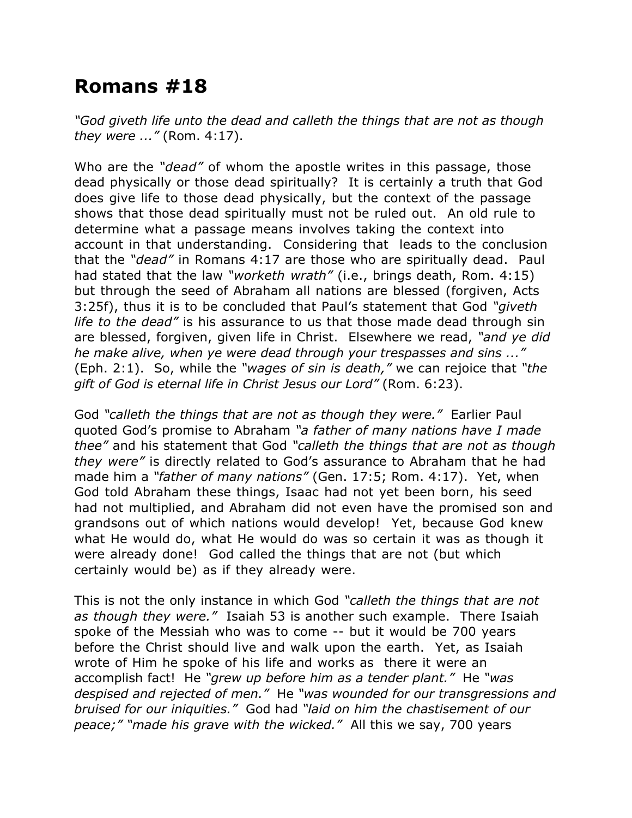## **Romans #18**

*"God giveth life unto the dead and calleth the things that are not as though they were ..."* (Rom. 4:17).

Who are the *"dead"* of whom the apostle writes in this passage, those dead physically or those dead spiritually? It is certainly a truth that God does give life to those dead physically, but the context of the passage shows that those dead spiritually must not be ruled out. An old rule to determine what a passage means involves taking the context into account in that understanding. Considering that leads to the conclusion that the *"dead"* in Romans 4:17 are those who are spiritually dead. Paul had stated that the law *"worketh wrath"* (i.e., brings death, Rom. 4:15) but through the seed of Abraham all nations are blessed (forgiven, Acts 3:25f), thus it is to be concluded that Paul's statement that God *"giveth life to the dead"* is his assurance to us that those made dead through sin are blessed, forgiven, given life in Christ. Elsewhere we read, *"and ye did he make alive, when ye were dead through your trespasses and sins ..."* (Eph. 2:1). So, while the *"wages of sin is death,"* we can rejoice that *"the gift of God is eternal life in Christ Jesus our Lord"* (Rom. 6:23).

God *"calleth the things that are not as though they were."* Earlier Paul quoted God's promise to Abraham *"a father of many nations have I made thee"* and his statement that God *"calleth the things that are not as though they were"* is directly related to God's assurance to Abraham that he had made him a *"father of many nations"* (Gen. 17:5; Rom. 4:17). Yet, when God told Abraham these things, Isaac had not yet been born, his seed had not multiplied, and Abraham did not even have the promised son and grandsons out of which nations would develop! Yet, because God knew what He would do, what He would do was so certain it was as though it were already done! God called the things that are not (but which certainly would be) as if they already were.

This is not the only instance in which God *"calleth the things that are not as though they were."* Isaiah 53 is another such example. There Isaiah spoke of the Messiah who was to come -- but it would be 700 years before the Christ should live and walk upon the earth. Yet, as Isaiah wrote of Him he spoke of his life and works as there it were an accomplish fact! He *"grew up before him as a tender plant."* He *"was despised and rejected of men."* He *"was wounded for our transgressions and bruised for our iniquities."* God had *"laid on him the chastisement of our peace;" "made his grave with the wicked."* All this we say, 700 years